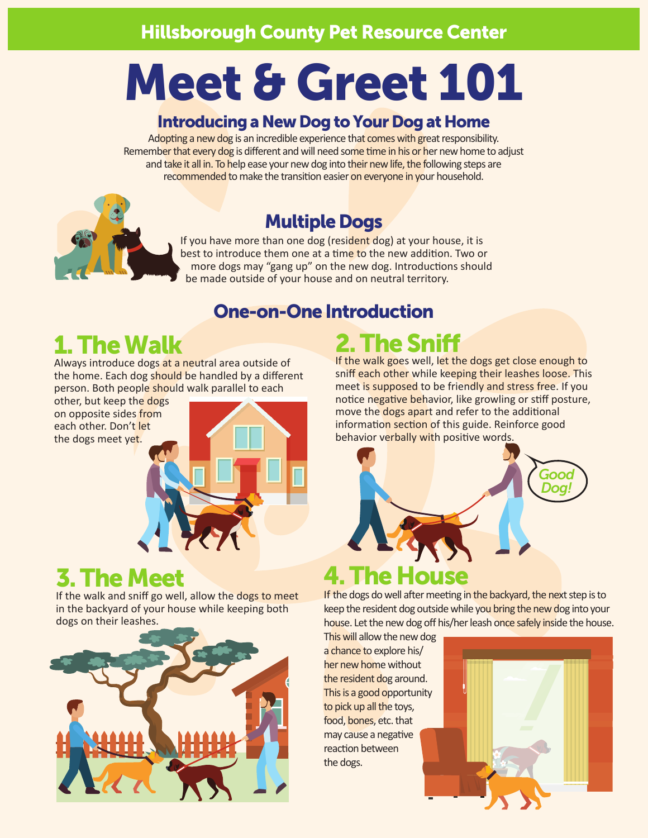# Meet & Greet 101

#### Introducing a New Dog to Your Dog at Home

Adopting a new dog is an incredible experience that comes with great responsibility. Remember that every dog is different and will need some time in his or her new home to adjust and take it all in. To help ease your new dog into their new life, the following steps are recommended to make the transition easier on everyone in your household.

#### Multiple Dogs

If you have more than one dog (resident dog) at your house, it is best to introduce them one at a time to the new addition. Two or more dogs may "gang up" on the new dog. Introductions should be made outside of your house and on neutral territory.

#### One-on-One Introduction

# 1. The Walk

Always introduce dogs at a neutral area outside of the home. Each dog should be handled by a different person. Both people should walk parallel to each

other, but keep the dogs on opposite sides from each other. Don't let the dogs meet yet.



#### 3. The Meet

If the walk and sniff go well, allow the dogs to meet in the backyard of your house while keeping both dogs on their leashes.



# 2. The Sniff

If the walk goes well, let the dogs get close enough to sniff each other while keeping their leashes loose. This meet is supposed to be friendly and stress free. If you notice negative behavior, like growling or stiff posture, move the dogs apart and refer to the additional information section of this guide. Reinforce good behavior verbally with positive words.



If the dogs do well after meeting in the backyard, the next step is to keep the resident dog outside while you bring the new dog into your house. Let the new dog off his/her leash once safely inside the house.

This will allow the new dog a chance to explore his/ her new home without the resident dog around. This is a good opportunity to pick up all the toys, food, bones, etc. that may cause a negative reaction between the dogs.

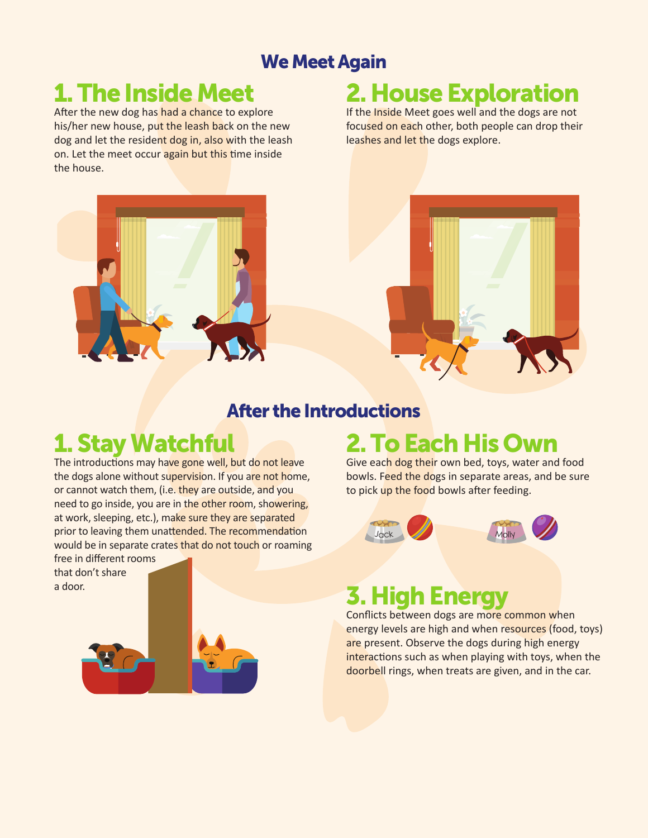#### We Meet Again

# 1. The Inside Meet

After the new dog has had a chance to explore his/her new house, put the leash back on the new dog and let the resident dog in, also with the leash on. Let the meet occur again but this time inside the house.

# 2. House Exploration

If the Inside Meet goes well and the dogs are not focused on each other, both people can drop their leashes and let the dogs explore.



#### After the Introductions

# 1. Stay Watchful

The introductions may have gone well, but do not leave the dogs alone without supervision. If you are not home, or cannot watch them, (i.e. they are outside, and you need to go inside, you are in the other room, showering, at work, sleeping, etc.), make sure they are separated prior to leaving them unattended. The recommendation would be in separate crates that do not touch or roaming

free in different rooms that don't share a door.



# 2. To Each His Own

Give each dog their own bed, toys, water and food bowls. Feed the dogs in separate areas, and be sure to pick up the food bowls after feeding.



#### **3. High Ener**

Conflicts between dogs are more common when energy levels are high and when resources (food, toys) are present. Observe the dogs during high energy interactions such as when playing with toys, when the doorbell rings, when treats are given, and in the car.